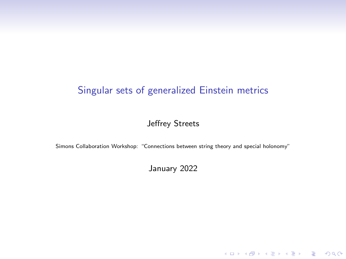#### Jeffrey Streets

Simons Collaboration Workshop: "Connections between string theory and special holonomy"

January 2022

KO K K Ø K K E K K E K V K K K K K K K K K K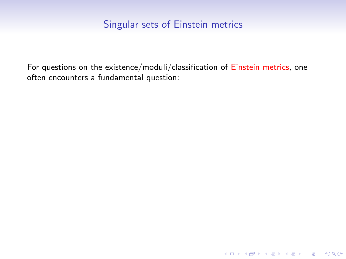For questions on the existence/moduli/classification of Einstein metrics, one often encounters a fundamental question:

KO K K Ø K K E K K E K V K K K K K K K K K K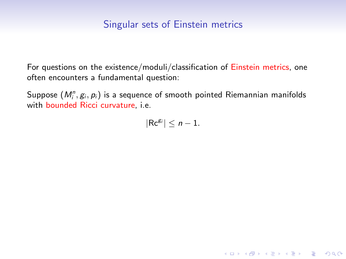For questions on the existence/moduli/classification of Einstein metrics, one often encounters a fundamental question:

Suppose  $(M^n_i,g_i,p_i)$  is a sequence of smooth pointed Riemannian manifolds with bounded Ricci curvature, i.e.

 $|{\sf Rc}^{g_i}| \leq n-1.$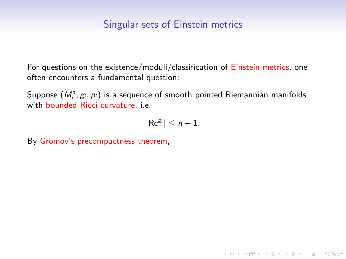For questions on the existence/moduli/classification of Einstein metrics, one often encounters a fundamental question:

Suppose  $(M^n_i,g_i,p_i)$  is a sequence of smooth pointed Riemannian manifolds with bounded Ricci curvature, i.e.

$$
|Rc^{g_i}|\leq n-1.
$$

K ロ ▶ K 個 ▶ K 할 ▶ K 할 ▶ 이 할 → 9 Q Q →

By Gromov's precompactness theorem,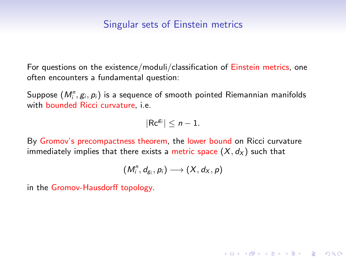For questions on the existence/moduli/classification of Einstein metrics, one often encounters a fundamental question:

Suppose  $(M^n_i,g_i,p_i)$  is a sequence of smooth pointed Riemannian manifolds with bounded Ricci curvature, i.e.

$$
|Rc^{g_i}|\leq n-1.
$$

By Gromov's precompactness theorem, the lower bound on Ricci curvature immediately implies that there exists a metric space  $(X, d_X)$  such that

$$
(M_i^n, d_{g_i}, p_i) \longrightarrow (X, d_X, p)
$$

**KORKARYKERKER POLO** 

in the Gromov-Hausdorff topology.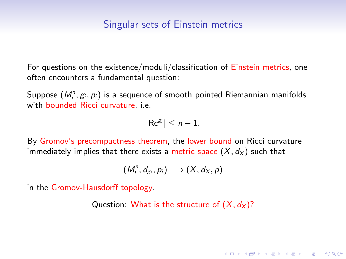For questions on the existence/moduli/classification of Einstein metrics, one often encounters a fundamental question:

Suppose  $(M^n_i,g_i,p_i)$  is a sequence of smooth pointed Riemannian manifolds with bounded Ricci curvature, i.e.

$$
|Rc^{g_i}|\leq n-1.
$$

By Gromov's precompactness theorem, the lower bound on Ricci curvature immediately implies that there exists a metric space  $(X, d_X)$  such that

$$
(M_i^n, d_{g_i}, p_i) \longrightarrow (X, d_X, p)
$$

in the Gromov-Hausdorff topology.

Question: What is the structure of  $(X, d_X)$ ?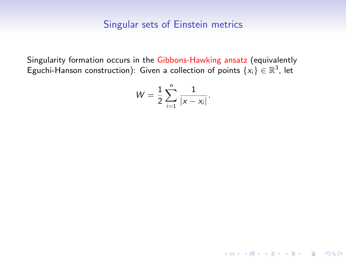Singularity formation occurs in the Gibbons-Hawking ansatz (equivalently Eguchi-Hanson construction): Given a collection of points  $\{x_i\} \in \mathbb{R}^3$ , let

$$
W=\frac{1}{2}\sum_{i=1}^n\frac{1}{|x-x_i|}.
$$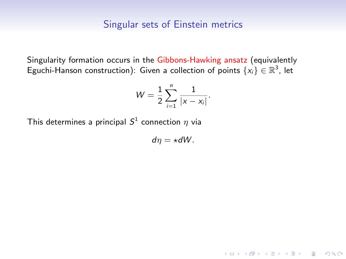Singularity formation occurs in the Gibbons-Hawking ansatz (equivalently Eguchi-Hanson construction): Given a collection of points  $\{x_i\} \in \mathbb{R}^3$ , let

$$
W=\frac{1}{2}\sum_{i=1}^n\frac{1}{|x-x_i|}.
$$

This determines a principal  $S^1$  connection  $\eta$  via

 $d\eta = \star dW$ .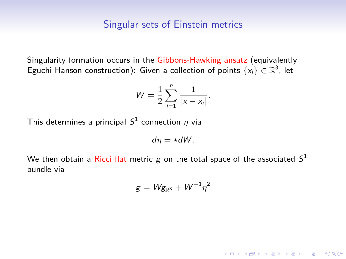Singularity formation occurs in the Gibbons-Hawking ansatz (equivalently Eguchi-Hanson construction): Given a collection of points  $\{x_i\} \in \mathbb{R}^3$ , let

$$
W=\frac{1}{2}\sum_{i=1}^n\frac{1}{|x-x_i|}.
$$

This determines a principal  $S^1$  connection  $\eta$  via

 $dn = \star dW$ .

We then obtain a Ricci flat metric  $\pmb g$  on the total space of the associated  $\pmb S^1$ bundle via

$$
g=Wg_{\mathbb{R}^3}+W^{-1}\eta^2
$$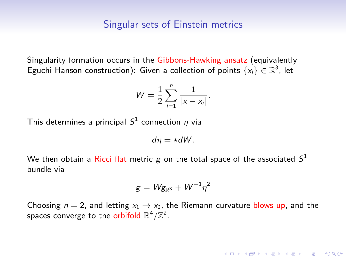Singularity formation occurs in the Gibbons-Hawking ansatz (equivalently Eguchi-Hanson construction): Given a collection of points  $\{x_i\} \in \mathbb{R}^3$ , let

$$
W=\frac{1}{2}\sum_{i=1}^n\frac{1}{|x-x_i|}.
$$

This determines a principal  $S^1$  connection  $\eta$  via

 $dn = \star dW$ .

We then obtain a Ricci flat metric  $\pmb g$  on the total space of the associated  $\pmb S^1$ bundle via

$$
g = \mathsf{W} g_{\mathbb{R}^3} + \mathsf{W}^{-1} \eta^2
$$

Choosing  $n = 2$ , and letting  $x_1 \rightarrow x_2$ , the Riemann curvature blows up, and the spaces converge to the orbifold  $\mathbb{R}^4/\mathbb{Z}^2$ .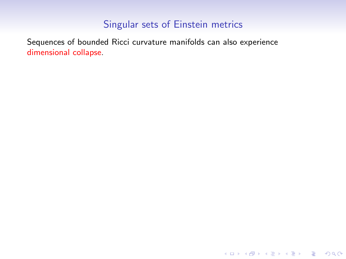K ロ ▶ K @ ▶ K 할 ▶ K 할 ▶ | 할 | ⊙Q @

Sequences of bounded Ricci curvature manifolds can also experience dimensional collapse.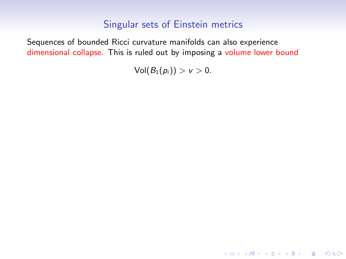Sequences of bounded Ricci curvature manifolds can also experience dimensional collapse. This is ruled out by imposing a volume lower bound

 $Vol(B_1(p_i)) > v > 0.$ 

KO KKOKKEKKEK E DAG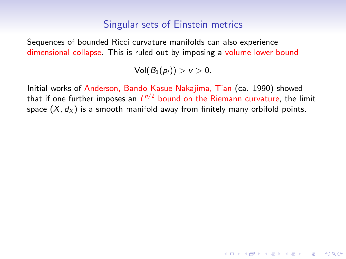Sequences of bounded Ricci curvature manifolds can also experience dimensional collapse. This is ruled out by imposing a volume lower bound

 $Vol(B_1(p_i)) > v > 0.$ 

Initial works of Anderson, Bando-Kasue-Nakajima, Tian (ca. 1990) showed that if one further imposes an  $\mathsf{L}^{n/2}$  bound on the Riemann curvature, the limit space  $(X, d_X)$  is a smooth manifold away from finitely many orbifold points.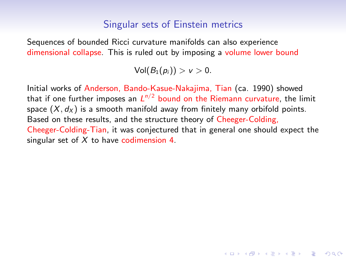Sequences of bounded Ricci curvature manifolds can also experience dimensional collapse. This is ruled out by imposing a volume lower bound

 $Vol(B_1(p_i)) > v > 0.$ 

Initial works of Anderson, Bando-Kasue-Nakajima, Tian (ca. 1990) showed that if one further imposes an  $\mathsf{L}^{n/2}$  bound on the Riemann curvature, the limit space  $(X, d_X)$  is a smooth manifold away from finitely many orbifold points. Based on these results, and the structure theory of Cheeger-Colding, Cheeger-Colding-Tian, it was conjectured that in general one should expect the singular set of  $X$  to have codimension 4.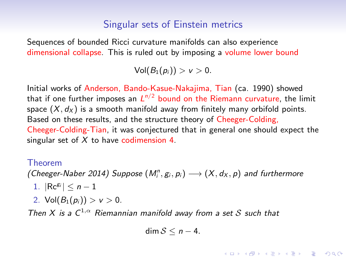Sequences of bounded Ricci curvature manifolds can also experience dimensional collapse. This is ruled out by imposing a volume lower bound

 $Vol(B_1(p_i)) > v > 0.$ 

Initial works of Anderson, Bando-Kasue-Nakajima, Tian (ca. 1990) showed that if one further imposes an  $\mathsf{L}^{n/2}$  bound on the Riemann curvature, the limit space  $(X, d_X)$  is a smooth manifold away from finitely many orbifold points. Based on these results, and the structure theory of Cheeger-Colding, Cheeger-Colding-Tian, it was conjectured that in general one should expect the singular set of  $X$  to have codimension 4.

#### Theorem

(Cheeger-Naber 2014) Suppose  $(M_i^n, g_i, p_i) \longrightarrow (X, d_X, p)$  and furthermore

- 1.  $|Re^{g_i}| \leq n-1$
- 2.  $Vol(B_1(p_i)) > v > 0$ .

Then X is a  $C^{1,\alpha}$  Riemannian manifold away from a set S such that

$$
\dim S\leq n-4.
$$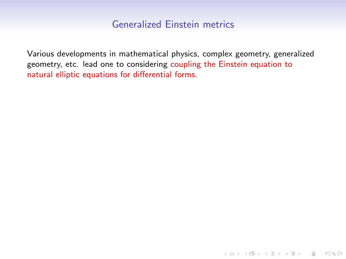Various developments in mathematical physics, complex geometry, generalized geometry, etc. lead one to considering coupling the Einstein equation to natural elliptic equations for differential forms.

K ロ ▶ K 레 ▶ K 코 ▶ K 코 ▶ 『코 │ ◆ 9 Q Q ↓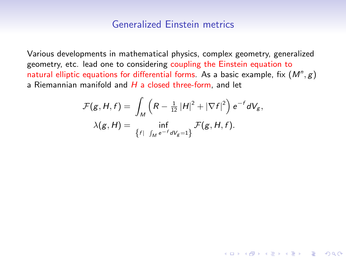Various developments in mathematical physics, complex geometry, generalized geometry, etc. lead one to considering coupling the Einstein equation to natural elliptic equations for differential forms. As a basic example, fix  $(M^n, g)$ a Riemannian manifold and  $H$  a closed three-form, and let

$$
\mathcal{F}(g, H, f) = \int_M \left( R - \frac{1}{12} |H|^2 + |\nabla f|^2 \right) e^{-f} dV_g,
$$
  

$$
\lambda(g, H) = \inf_{\{f \mid \int_M e^{-f} dV_g = 1\}} \mathcal{F}(g, H, f).
$$

K ロ ▶ K 個 ▶ K 할 ▶ K 할 ▶ 이 할 → 9 Q Q →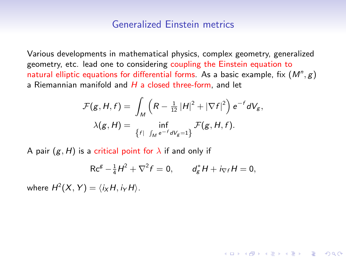Various developments in mathematical physics, complex geometry, generalized geometry, etc. lead one to considering coupling the Einstein equation to natural elliptic equations for differential forms. As a basic example, fix  $(M^n, g)$ a Riemannian manifold and  $H$  a closed three-form, and let

$$
\mathcal{F}(g, H, f) = \int_M \left( R - \frac{1}{12} |H|^2 + |\nabla f|^2 \right) e^{-f} dV_g,
$$
  

$$
\lambda(g, H) = \inf_{\{f \mid \int_M e^{-f} dV_g = 1\}} \mathcal{F}(g, H, f).
$$

A pair  $(g, H)$  is a critical point for  $\lambda$  if and only if

$$
Rc^{g} - \frac{1}{4}H^{2} + \nabla^{2} f = 0, \t d_{g}^{*}H + i_{\nabla f}H = 0,
$$

**KORKAR KERKER ORA** 

where  $H^2(X, Y) = \langle i_X H, i_Y H \rangle$ .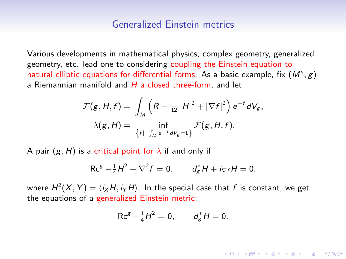Various developments in mathematical physics, complex geometry, generalized geometry, etc. lead one to considering coupling the Einstein equation to natural elliptic equations for differential forms. As a basic example, fix  $(M^n, g)$ a Riemannian manifold and  $H$  a closed three-form, and let

$$
\mathcal{F}(g, H, f) = \int_M \left( R - \frac{1}{12} |H|^2 + |\nabla f|^2 \right) e^{-f} dV_g,
$$
  

$$
\lambda(g, H) = \inf_{\{f \mid \int_M e^{-f} dV_g = 1\}} \mathcal{F}(g, H, f).
$$

A pair  $(g, H)$  is a critical point for  $\lambda$  if and only if

$$
Rc^{g} - \frac{1}{4}H^{2} + \nabla^{2} f = 0, \t d_{g}^{*}H + i_{\nabla f}H = 0,
$$

where  $H^2(X,Y)=\langle i_X H, i_Y H\rangle.$  In the special case that  $f$  is constant, we get the equations of a generalized Einstein metric:

$$
Rc^{g} - \frac{1}{4}H^{2} = 0, \t d_{g}^{*}H = 0.
$$

**KORKAR KERKER ORA**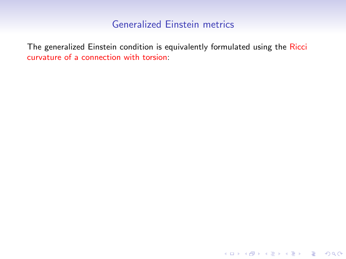The generalized Einstein condition is equivalently formulated using the Ricci curvature of a connection with torsion:

KO KKOKKEKKEK E DAG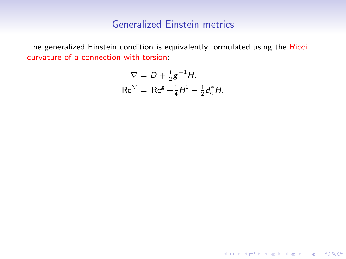The generalized Einstein condition is equivalently formulated using the Ricci curvature of a connection with torsion:

$$
\nabla = D + \frac{1}{2}g^{-1}H,
$$
  
 
$$
Rc^{\nabla} = Rc^{g} - \frac{1}{4}H^{2} - \frac{1}{2}d_{g}^{*}H.
$$

KO KKOKKEKKEK E DAG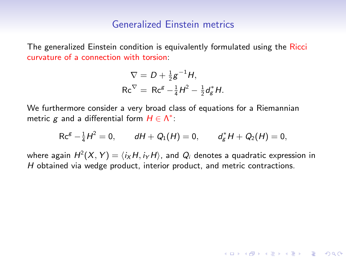The generalized Einstein condition is equivalently formulated using the Ricci curvature of a connection with torsion:

$$
\nabla = D + \frac{1}{2}g^{-1}H,
$$
  
\n
$$
Rc^{\nabla} = Rc^g - \frac{1}{4}H^2 - \frac{1}{2}d_g^*H.
$$

We furthermore consider a very broad class of equations for a Riemannian metric g and a differential form  $H \in \Lambda^*$ :

$$
Rc^{g} - \frac{1}{4}H^{2} = 0, \qquad dH + Q_{1}(H) = 0, \qquad d_{g}^{*}H + Q_{2}(H) = 0,
$$

where again  $H^2(X,Y)=\langle i_X H, i_Y H\rangle$ , and  $Q_i$  denotes a quadratic expression in H obtained via wedge product, interior product, and metric contractions.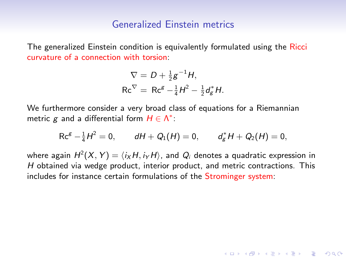The generalized Einstein condition is equivalently formulated using the Ricci curvature of a connection with torsion:

$$
\nabla = D + \frac{1}{2}g^{-1}H,
$$
  
\n
$$
Rc^{\nabla} = Rc^g - \frac{1}{4}H^2 - \frac{1}{2}d_g^*H.
$$

We furthermore consider a very broad class of equations for a Riemannian metric g and a differential form  $H \in \Lambda^*$ :

$$
Rc^{g} - \frac{1}{4}H^{2} = 0, \qquad dH + Q_{1}(H) = 0, \qquad d_{g}^{*}H + Q_{2}(H) = 0,
$$

where again  $H^2(X,Y)=\langle i_X H, i_Y H\rangle$ , and  $Q_i$  denotes a quadratic expression in H obtained via wedge product, interior product, and metric contractions. This includes for instance certain formulations of the Strominger system: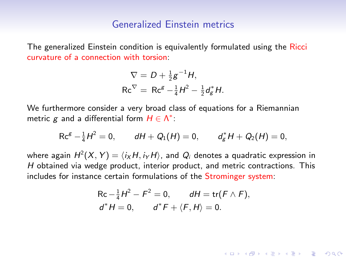The generalized Einstein condition is equivalently formulated using the Ricci curvature of a connection with torsion:

$$
\nabla = D + \frac{1}{2}g^{-1}H,
$$
  
\n
$$
Rc^{\nabla} = Rc^g - \frac{1}{4}H^2 - \frac{1}{2}d_g^*H.
$$

We furthermore consider a very broad class of equations for a Riemannian metric g and a differential form  $H \in \Lambda^*$ :

$$
Rc^{g} - \frac{1}{4}H^{2} = 0, \qquad dH + Q_{1}(H) = 0, \qquad d_{g}^{*}H + Q_{2}(H) = 0,
$$

where again  $H^2(X,Y)=\langle i_X H, i_Y H\rangle$ , and  $Q_i$  denotes a quadratic expression in H obtained via wedge product, interior product, and metric contractions. This includes for instance certain formulations of the Strominger system:

$$
\begin{aligned} &\text{Rc} - \frac{1}{4}H^2 - F^2 = 0, \qquad dH = \text{tr}(F \wedge F), \\ &d^*H = 0, \qquad d^*F + \langle F, H \rangle = 0. \end{aligned}
$$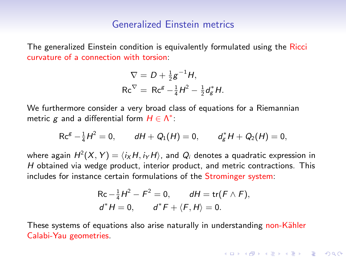The generalized Einstein condition is equivalently formulated using the Ricci curvature of a connection with torsion:

$$
\nabla = D + \frac{1}{2}g^{-1}H,
$$
  
\n
$$
Rc^{\nabla} = Rc^g - \frac{1}{4}H^2 - \frac{1}{2}d_g^*H.
$$

We furthermore consider a very broad class of equations for a Riemannian metric g and a differential form  $H \in \Lambda^*$ :

$$
Rc^{g} - \frac{1}{4}H^{2} = 0, \qquad dH + Q_{1}(H) = 0, \qquad d_{g}^{*}H + Q_{2}(H) = 0,
$$

where again  $H^2(X,Y)=\langle i_X H, i_Y H\rangle$ , and  $Q_i$  denotes a quadratic expression in H obtained via wedge product, interior product, and metric contractions. This includes for instance certain formulations of the Strominger system:

$$
\begin{aligned} &\text{Rc} - \frac{1}{4}H^2 - F^2 = 0, \qquad dH = \text{tr}(F \wedge F), \\ &d^*H = 0, \qquad d^*F + \langle F, H \rangle = 0. \end{aligned}
$$

4 0 > 4 4 + 4 = + 4 = + = + + 0 4 0 +

These systems of equations also arise naturally in understanding non-Kähler Calabi-Yau geometries.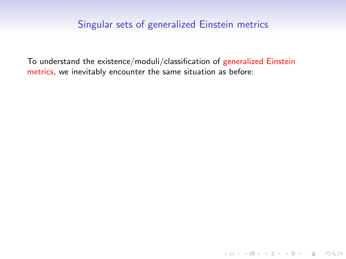To understand the existence/moduli/classification of generalized Einstein metrics, we inevitably encounter the same situation as before: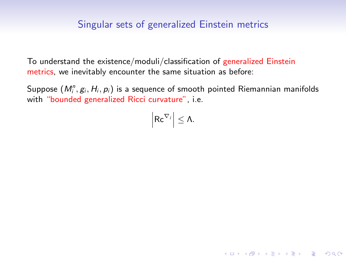To understand the existence/moduli/classification of generalized Einstein metrics, we inevitably encounter the same situation as before:

Suppose  $(M^n_i,g_i,H_i,p_i)$  is a sequence of smooth pointed Riemannian manifolds with "bounded generalized Ricci curvature", i.e.

$$
\left|\mathsf{Rc}^{\nabla_i}\right|\leq \Lambda.
$$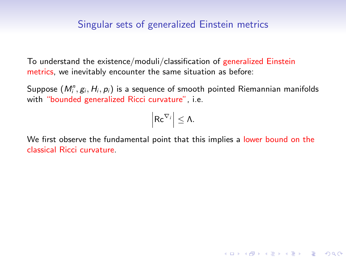To understand the existence/moduli/classification of generalized Einstein metrics, we inevitably encounter the same situation as before:

Suppose  $(M^n_i,g_i,H_i,p_i)$  is a sequence of smooth pointed Riemannian manifolds with "bounded generalized Ricci curvature", i.e.

$$
\left|\mathsf{Rc}^{\nabla_j}\right|\leq \Lambda.
$$

We first observe the fundamental point that this implies a lower bound on the classical Ricci curvature.

K ロ ▶ K 個 ▶ K 할 ▶ K 할 ▶ 이 할 → 9 Q Q →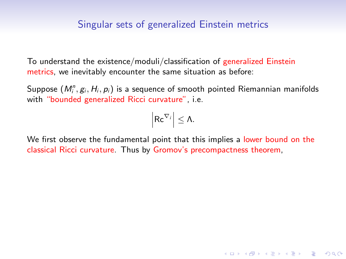To understand the existence/moduli/classification of generalized Einstein metrics, we inevitably encounter the same situation as before:

Suppose  $(M^n_i,g_i,H_i,p_i)$  is a sequence of smooth pointed Riemannian manifolds with "bounded generalized Ricci curvature", i.e.

$$
\left|\mathsf{Rc}^{\nabla_i}\right|\leq \Lambda.
$$

We first observe the fundamental point that this implies a lower bound on the classical Ricci curvature. Thus by Gromov's precompactness theorem,

**KORKARYKERKER POLO**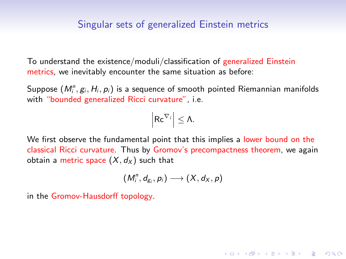To understand the existence/moduli/classification of generalized Einstein metrics, we inevitably encounter the same situation as before:

Suppose  $(M^n_i,g_i,H_i,p_i)$  is a sequence of smooth pointed Riemannian manifolds with "bounded generalized Ricci curvature", i.e.

$$
\left|\mathsf{Rc}^{\nabla_i}\right|\leq \Lambda.
$$

We first observe the fundamental point that this implies a lower bound on the classical Ricci curvature. Thus by Gromov's precompactness theorem, we again obtain a metric space  $(X, dx)$  such that

$$
\left(M_i^n,d_{g_i},p_i\right)\longrightarrow\left(X,d_X,p\right)
$$

4 0 > 4 4 + 4 = + 4 = + = + + 0 4 0 +

in the Gromov-Hausdorff topology.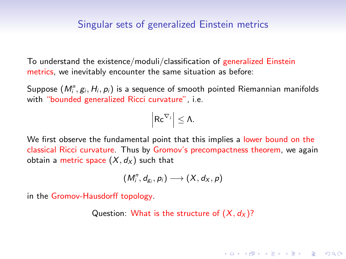To understand the existence/moduli/classification of generalized Einstein metrics, we inevitably encounter the same situation as before:

Suppose  $(M^n_i,g_i,H_i,p_i)$  is a sequence of smooth pointed Riemannian manifolds with "bounded generalized Ricci curvature", i.e.

$$
\left|\mathsf{Rc}^{\nabla_i}\right|\leq \Lambda.
$$

We first observe the fundamental point that this implies a lower bound on the classical Ricci curvature. Thus by Gromov's precompactness theorem, we again obtain a metric space  $(X, dx)$  such that

$$
\left(M_i^n,d_{g_i},p_i\right)\longrightarrow\left(X,d_X,p\right)
$$

in the Gromov-Hausdorff topology.

Question: What is the structure of  $(X, d_X)$ ?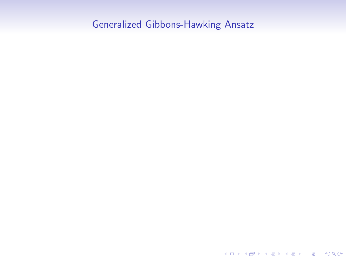K ロ ▶ K @ ▶ K 할 ▶ K 할 ▶ | 할 | ⊙Q @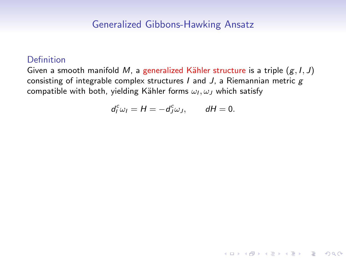#### Definition

Given a smooth manifold M, a generalized Kähler structure is a triple  $(g, I, J)$ consisting of integrable complex structures  $I$  and  $J$ , a Riemannian metric  $g$ compatible with both, yielding Kähler forms  $\omega_I, \omega_J$  which satisfy

$$
d^c_l\omega_l=H=-d^c_J\omega_J, \qquad dH=0.
$$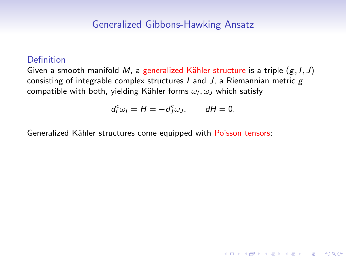#### Definition

Given a smooth manifold M, a generalized Kähler structure is a triple  $(g, I, J)$ consisting of integrable complex structures  $I$  and  $J$ , a Riemannian metric  $g$ compatible with both, yielding Kähler forms  $\omega_I, \omega_J$  which satisfy

$$
d^c_l\omega_l=H=-d^c_J\omega_J, \qquad dH=0.
$$

4 0 > 4 4 + 4 = + 4 = + = + + 0 4 0 +

Generalized Kähler structures come equipped with Poisson tensors: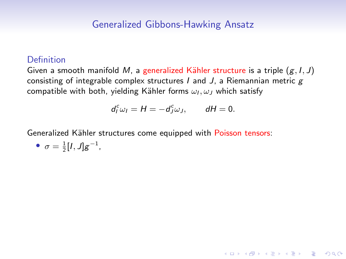#### Definition

Given a smooth manifold M, a generalized Kähler structure is a triple  $(g, I, J)$ consisting of integrable complex structures  $I$  and  $J$ , a Riemannian metric  $g$ compatible with both, yielding Kähler forms  $\omega_I, \omega_J$  which satisfy

$$
d^c_l\omega_l=H=-d^c_J\omega_J, \qquad dH=0.
$$

4 0 > 4 4 + 4 = + 4 = + = + + 0 4 0 +

Generalized Kähler structures come equipped with Poisson tensors:

$$
\bullet \ \sigma = \frac{1}{2}[I,J]g^{-1},
$$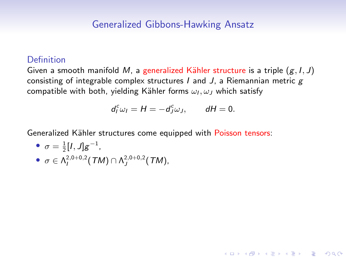#### **Definition**

Given a smooth manifold M, a generalized Kähler structure is a triple  $(g, I, J)$ consisting of integrable complex structures  $I$  and  $J$ , a Riemannian metric  $g$ compatible with both, yielding Kähler forms  $\omega_I, \omega_J$  which satisfy

$$
d^c_l\omega_l=H=-d^c_J\omega_J, \qquad dH=0.
$$

4 0 > 4 4 + 4 = + 4 = + = + + 0 4 0 +

Generalized Kähler structures come equipped with Poisson tensors:

• 
$$
\sigma = \frac{1}{2}[I, J]g^{-1},
$$
  
\n•  $\sigma \in \Lambda^{2,0+0,2}(\mathcal{TM}) \cap \Lambda^{2,0+0,2}(\mathcal{TM}),$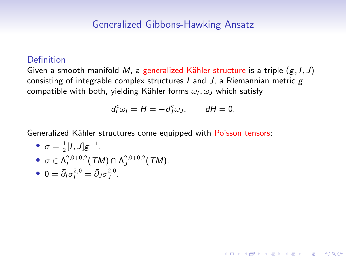#### Definition

Given a smooth manifold M, a generalized Kähler structure is a triple  $(g, I, J)$ consisting of integrable complex structures  $I$  and  $J$ , a Riemannian metric  $g$ compatible with both, yielding Kähler forms  $\omega_I, \omega_J$  which satisfy

$$
d^c_l\omega_l=H=-d^c_J\omega_J, \qquad dH=0.
$$

4 0 > 4 4 + 4 = + 4 = + = + + 0 4 0 +

Generalized Kähler structures come equipped with Poisson tensors:

• 
$$
\sigma = \frac{1}{2}[I, J]g^{-1}
$$
,  
\n•  $\sigma \in \Lambda_I^{2,0+0,2}(TM) \cap \Lambda_J^{2,0+0,2}(TM)$ ,  
\n•  $0 = \overline{\partial}_I \sigma_I^{2,0} = \overline{\partial}_J \sigma_J^{2,0}$ .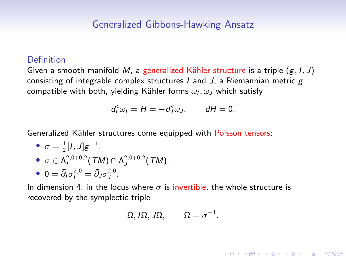#### **Definition**

Given a smooth manifold M, a generalized Kähler structure is a triple  $(g, I, J)$ consisting of integrable complex structures  $I$  and  $J$ , a Riemannian metric  $g$ compatible with both, yielding Kähler forms  $\omega_I, \omega_J$  which satisfy

$$
d^c_l\omega_l=H=-d^c_j\omega_J, \qquad dH=0.
$$

Generalized Kähler structures come equipped with Poisson tensors:

• 
$$
\sigma = \frac{1}{2} [I, J] g^{-1}
$$
,  
\n•  $\sigma \in \Lambda_{I}^{2,0+0,2} (TM) \cap \Lambda_{J}^{2,0+0,2} (TM)$ ,  
\n•  $0 = \bar{A} \sigma_{I}^{2,0} = \bar{A} \sigma_{I}^{2,0}$ 

$$
\bullet \ \ 0 = \bar{\partial}_I \sigma_I^{2,0} = \bar{\partial}_J \sigma_J^{2,0}.
$$

In dimension 4, in the locus where  $\sigma$  is invertible, the whole structure is recovered by the symplectic triple

$$
\Omega, I\Omega, J\Omega, \qquad \Omega = \sigma^{-1}.
$$

**KORKARYKERKER POLO**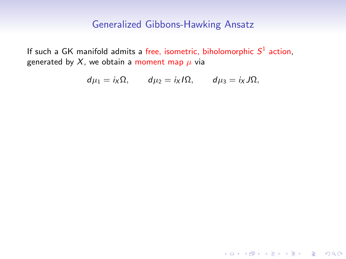If such a GK manifold admits a free, isometric, biholomorphic  $S^1$  action, generated by X, we obtain a moment map  $\mu$  via

$$
d\mu_1=i_X\Omega, \qquad d\mu_2=i_XI\Omega, \qquad d\mu_3=i_XJ\Omega,
$$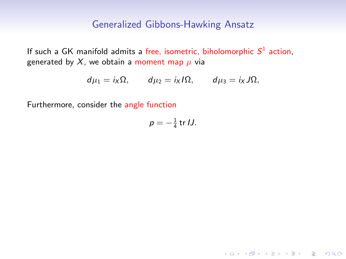If such a GK manifold admits a free, isometric, biholomorphic  $S^1$  action, generated by X, we obtain a moment map  $\mu$  via

$$
d\mu_1=i_X\Omega, \qquad d\mu_2=i_XI\Omega, \qquad d\mu_3=i_XJ\Omega,
$$

Furthermore, consider the angle function

$$
p=-\tfrac{1}{4}\operatorname{tr} IJ.
$$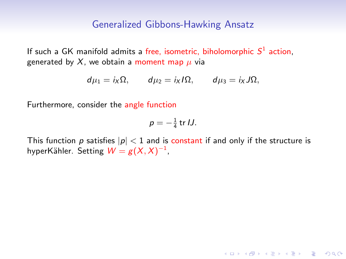If such a GK manifold admits a free, isometric, biholomorphic  $S^1$  action, generated by X, we obtain a moment map  $\mu$  via

$$
d\mu_1=i_X\Omega, \qquad d\mu_2=i_XI\Omega, \qquad d\mu_3=i_XJ\Omega,
$$

Furthermore, consider the angle function

$$
p=-\tfrac{1}{4}\operatorname{tr} U.
$$

This function p satisfies  $|p| < 1$  and is constant if and only if the structure is hyperKähler. Setting  $W = g(X,X)^{-1}$ ,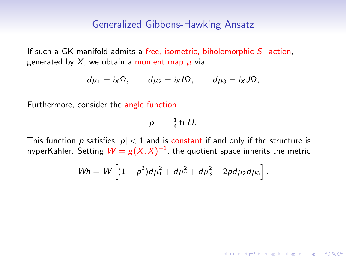If such a GK manifold admits a free, isometric, biholomorphic  $S^1$  action, generated by X, we obtain a moment map  $\mu$  via

$$
d\mu_1=i_X\Omega, \qquad d\mu_2=i_XI\Omega, \qquad d\mu_3=i_XJ\Omega,
$$

Furthermore, consider the angle function

$$
p=-\tfrac{1}{4}\operatorname{tr} U.
$$

This function p satisfies  $|p| < 1$  and is constant if and only if the structure is hyperKähler. Setting  $W = g(X,X)^{-1}$ , the quotient space inherits the metric

$$
Wh = W \left[ (1 - p^2) d \mu_1^2 + d \mu_2^2 + d \mu_3^2 - 2p d \mu_2 d \mu_3 \right].
$$

4 0 > 4 4 + 4 = + 4 = + = + + 0 4 0 +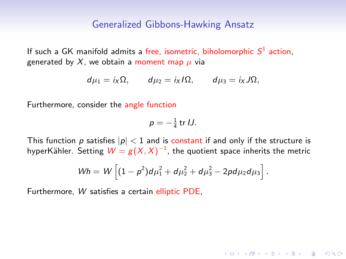If such a GK manifold admits a free, isometric, biholomorphic  $S^1$  action, generated by X, we obtain a moment map  $\mu$  via

$$
d\mu_1=i_X\Omega, \qquad d\mu_2=i_XI\Omega, \qquad d\mu_3=i_XJ\Omega,
$$

Furthermore, consider the angle function

$$
p=-\tfrac{1}{4}\operatorname{tr} U.
$$

This function p satisfies  $|p| < 1$  and is constant if and only if the structure is hyperKähler. Setting  $W = g(X,X)^{-1}$ , the quotient space inherits the metric

$$
Wh = W \left[ (1 - p^2) d \mu_1^2 + d \mu_2^2 + d \mu_3^2 - 2p d \mu_2 d \mu_3 \right].
$$

4 0 > 4 4 + 4 = + 4 = + = + + 0 4 0 +

Furthermore, W satisfies a certain elliptic PDE,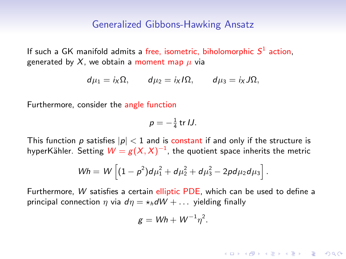If such a GK manifold admits a free, isometric, biholomorphic  $S^1$  action, generated by X, we obtain a moment map  $\mu$  via

$$
d\mu_1=i_X\Omega, \qquad d\mu_2=i_XI\Omega, \qquad d\mu_3=i_XJ\Omega,
$$

Furthermore, consider the angle function

$$
p=-\tfrac{1}{4}\operatorname{tr} U.
$$

This function p satisfies  $|p| < 1$  and is constant if and only if the structure is hyperKähler. Setting  $W = g(X,X)^{-1}$ , the quotient space inherits the metric

$$
Wh = W \left[ (1 - p^2) d \mu_1^2 + d \mu_2^2 + d \mu_3^2 - 2p d \mu_2 d \mu_3 \right].
$$

Furthermore, W satisfies a certain elliptic PDE, which can be used to define a principal connection  $\eta$  via  $d\eta = \star_h dW + \dots$  yielding finally

$$
g = Wh + W^{-1} \eta^2.
$$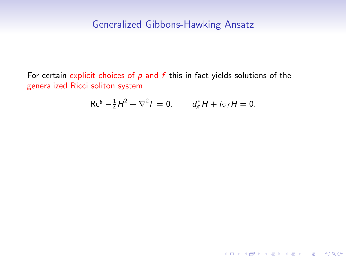For certain explicit choices of  $p$  and  $f$  this in fact yields solutions of the generalized Ricci soliton system

$$
Rc^{g} - \frac{1}{4}H^{2} + \nabla^{2} f = 0, \t d_{g}^{*}H + i_{\nabla f}H = 0,
$$

KO K K Ø K K E K K E K V K K K K K K K K K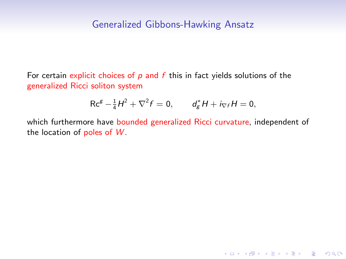For certain explicit choices of  $p$  and  $f$  this in fact yields solutions of the generalized Ricci soliton system

$$
Rc^{g} - \frac{1}{4}H^{2} + \nabla^{2} f = 0, \t d_{g}^{*}H + i_{\nabla f}H = 0,
$$

which furthermore have bounded generalized Ricci curvature, independent of the location of poles of  $W$ .

K ロ ▶ K 個 ▶ K 할 ▶ K 할 ▶ 이 할 → 9 Q Q →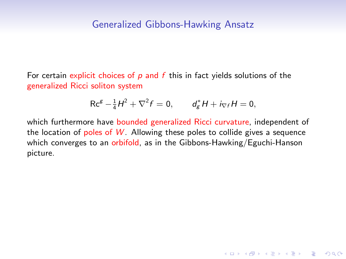For certain explicit choices of  $p$  and  $f$  this in fact yields solutions of the generalized Ricci soliton system

$$
Rc^{g} - \frac{1}{4}H^{2} + \nabla^{2} f = 0, \t d_{g}^{*}H + i_{\nabla f}H = 0,
$$

which furthermore have bounded generalized Ricci curvature, independent of the location of poles of  $W$ . Allowing these poles to collide gives a sequence which converges to an orbifold, as in the Gibbons-Hawking/Eguchi-Hanson picture.

K ロ ▶ K 個 ▶ K 할 ▶ K 할 ▶ 이 할 → 9 Q Q →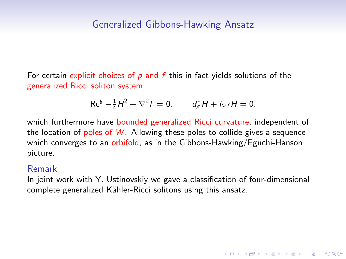For certain explicit choices of  $p$  and  $f$  this in fact yields solutions of the generalized Ricci soliton system

$$
Rc^{g} - \frac{1}{4}H^{2} + \nabla^{2} f = 0, \t d_{g}^{*}H + i_{\nabla f}H = 0,
$$

which furthermore have bounded generalized Ricci curvature, independent of the location of poles of  $W$ . Allowing these poles to collide gives a sequence which converges to an orbifold, as in the Gibbons-Hawking/Eguchi-Hanson picture.

#### Remark

In joint work with Y. Ustinovskiy we gave a classification of four-dimensional complete generalized Kähler-Ricci solitons using this ansatz.

**KORK ERKER ADAM ADA**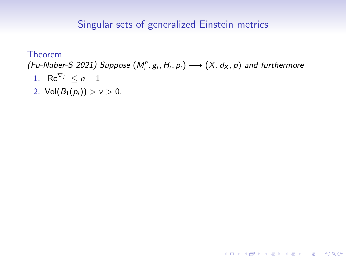Theorem (Fu-Naber-S 2021) Suppose  $(M_i^n, g_i, H_i, p_i) \longrightarrow (X, d_X, p)$  and furthermore 1.  $\left| \text{Re}^{\nabla_i} \right| \leq n-1$ 

KO K K Ø K K E K K E K V K K K K K K K K K

2. Vol $(B_1(p_i)) > v > 0$ .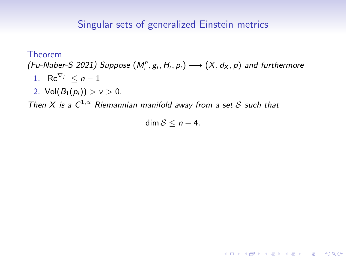Theorem (Fu-Naber-S 2021) Suppose  $(M_i^n, g_i, H_i, p_i) \longrightarrow (X, d_X, p)$  and furthermore 1.  $\left| \text{Re}^{\nabla_i} \right| \leq n-1$ 2. Vol $(B_1(p_i)) > v > 0$ .

Then X is a  $C^{1,\alpha}$  Riemannian manifold away from a set S such that

dim  $S \leq n-4$ .

**KOD KAD KED KED E VOOR**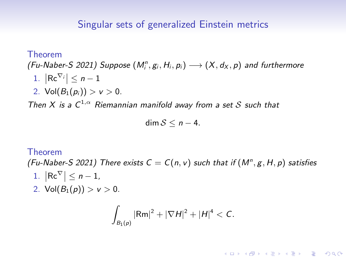Theorem (Fu-Naber-S 2021) Suppose  $(M_i^n, g_i, H_i, p_i) \longrightarrow (X, d_X, p)$  and furthermore 1.  $\left| \text{Re}^{\nabla_i} \right| \leq n-1$ 2.  $Vol(B_1(p_i)) > v > 0$ .

Then X is a  $C^{1,\alpha}$  Riemannian manifold away from a set S such that

$$
\dim S\leq n-4.
$$

#### Theorem

(Fu-Naber-S 2021) There exists  $C = C(n, v)$  such that if  $(M^n, g, H, p)$  satisfies

- 1.  $\left|\mathsf{Rc}^{\nabla}\right| \leq n-1$ ,
- 2. Vol $(B_1(p)) > v > 0$ .

$$
\int_{B_1(p)} |Rm|^2 + |\nabla H|^2 + |H|^4 < C.
$$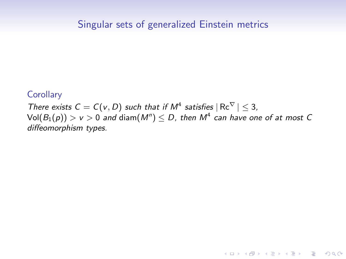**Corollary** 

There exists  $C = C(v, D)$  such that if  $M^4$  satisfies  $|Re^{\nabla}| \leq 3$ ,  $\mathsf{Vol}(B_1(\rho)) > \mathsf{v} > 0$  and  $\mathsf{diam}(M^n) \leq D$ , then  $M^4$  can have one of at most  $C$ diffeomorphism types.

K ロ ▶ K 個 ▶ K 할 ▶ K 할 ▶ 이 할 → 9 Q Q →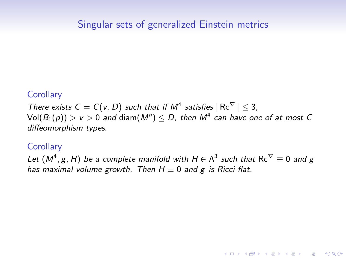#### **Corollary**

There exists  $C = C(v, D)$  such that if  $M^4$  satisfies  $|Re^{\nabla}| \leq 3$ ,  $\mathsf{Vol}(B_1(\rho)) > \mathsf{v} > 0$  and  $\mathsf{diam}(M^n) \leq D$ , then  $M^4$  can have one of at most  $C$ diffeomorphism types.

#### **Corollary**

Let  $(M^4,g,H)$  be a complete manifold with  $H\in \Lambda^3$  such that  $\mathrm{Rc}^\nabla\equiv 0$  and  $g$ has maximal volume growth. Then  $H \equiv 0$  and g is Ricci-flat.

4 0 > 4 4 + 4 = + 4 = + = + + 0 4 0 +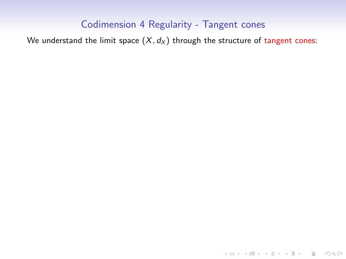We understand the limit space  $(X, d_X)$  through the structure of tangent cones:

K ロ ▶ K @ ▶ K 할 ▶ K 할 ▶ | 할 | ⊙Q @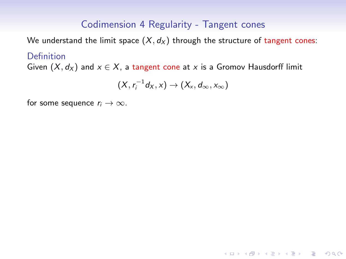We understand the limit space  $(X, d_X)$  through the structure of tangent cones: Definition

Given  $(X, d_X)$  and  $x \in X$ , a tangent cone at x is a Gromov Hausdorff limit

$$
(X, r_i^{-1}d_X, x) \rightarrow (X_x, d_\infty, x_\infty)
$$

for some sequence  $r_i \rightarrow \infty$ .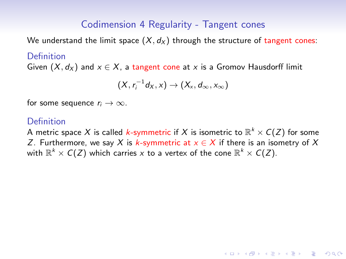We understand the limit space  $(X, d_X)$  through the structure of tangent cones:

#### **Definition**

Given  $(X, d_X)$  and  $x \in X$ , a tangent cone at x is a Gromov Hausdorff limit

$$
(X, r_i^{-1}d_X, x) \rightarrow (X_x, d_{\infty}, x_{\infty})
$$

for some sequence  $r_i \to \infty$ .

### **Definition**

A metric space  $X$  is called  $k$ -symmetric if  $X$  is isometric to  $\mathbb{R}^k\times C(Z)$  for some Z. Furthermore, we say X is k-symmetric at  $x \in X$  if there is an isometry of X with  $\mathbb{R}^k \times C(Z)$  which carries  $x$  to a vertex of the cone  $\mathbb{R}^k \times C(Z).$ 

4 0 > 4 4 + 4 = + 4 = + = + + 0 4 0 +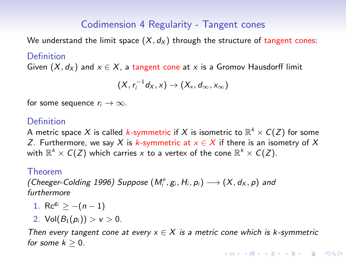We understand the limit space  $(X, d_X)$  through the structure of tangent cones:

#### Definition

Given  $(X, d_X)$  and  $x \in X$ , a tangent cone at x is a Gromov Hausdorff limit

$$
(X, r_i^{-1}d_X, x) \rightarrow (X_x, d_\infty, x_\infty)
$$

for some sequence  $r_i \rightarrow \infty$ .

## **Definition**

A metric space  $X$  is called  $k$ -symmetric if  $X$  is isometric to  $\mathbb{R}^k\times C(Z)$  for some Z. Furthermore, we say X is k-symmetric at  $x \in X$  if there is an isometry of X with  $\mathbb{R}^k \times C(Z)$  which carries  $x$  to a vertex of the cone  $\mathbb{R}^k \times C(Z).$ 

#### Theorem

(Cheeger-Colding 1996) Suppose  $(M_i^n, g_i, H_i, p_i) \longrightarrow (X, d_X, p)$  and furthermore

- 1. Rc<sup>gi</sup> >  $-(n-1)$
- 2. Vol $(B_1(p_i)) > v > 0$ .

Then every tangent cone at every  $x \in X$  is a metric cone which is k-symmetric for some  $k > 0$ .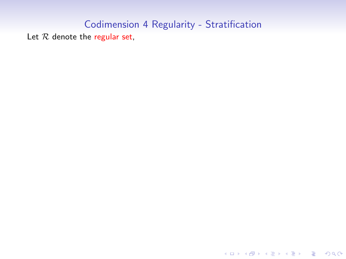K ロ ▶ K @ ▶ K 할 ▶ K 할 ▶ | 할 | ⊙Q @

Let  $R$  denote the regular set,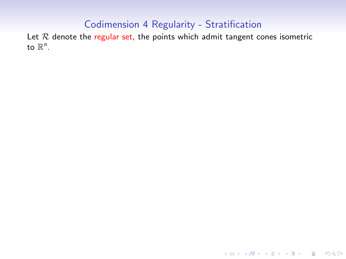Let  $R$  denote the regular set, the points which admit tangent cones isometric to  $\mathbb{R}^n$ .

KO KKOKKEKKEK E DAG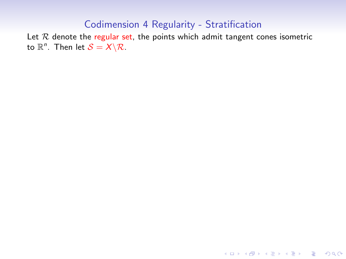Let  $R$  denote the regular set, the points which admit tangent cones isometric to  $\mathbb{R}^n$ . Then let  $\mathcal{S} = X \backslash \mathcal{R}$ .

KO K K Ø K K E K K E K V K K K K K K K K K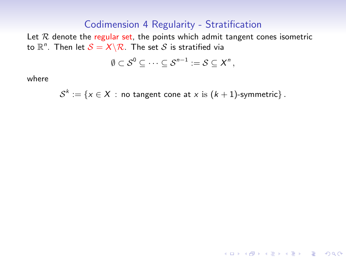Let  $R$  denote the regular set, the points which admit tangent cones isometric to  $\mathbb{R}^n$ . Then let  $\mathcal{S} = X \backslash \mathcal{R}$ . The set  $\mathcal S$  is stratified via

$$
\emptyset \subset \mathcal{S}^0 \subseteq \cdots \subseteq \mathcal{S}^{n-1} := \mathcal{S} \subseteq \mathcal{X}^n,
$$

where

$$
\mathcal{S}^k := \{x \in X : \text{ no tangent cone at } x \text{ is } (k+1)\text{-symmetric}\}.
$$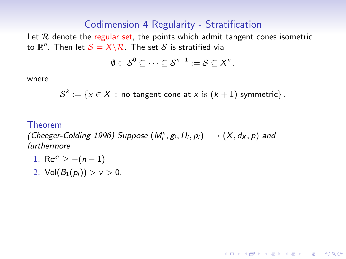Let  $R$  denote the regular set, the points which admit tangent cones isometric to  $\mathbb{R}^n$ . Then let  $\mathcal{S} = X \backslash \mathcal{R}$ . The set  $\mathcal S$  is stratified via

$$
\emptyset \subset \mathcal{S}^0 \subseteq \cdots \subseteq \mathcal{S}^{n-1} := \mathcal{S} \subseteq \mathcal{X}^n,
$$

where

$$
\mathcal{S}^k := \{x \in X \,:\, \text{no tangent cone at } x \text{ is } (k+1)\text{-symmetric}\}\,.
$$

**KORKARYKERKER POLO** 

#### Theorem

(Cheeger-Colding 1996) Suppose  $(M_i^n, g_i, H_i, p_i) \longrightarrow (X, d_X, p)$  and furthermore

- 1. Rc<sup>gi</sup> >  $-(n-1)$
- 2. Vol $(B_1(p_i)) > v > 0$ .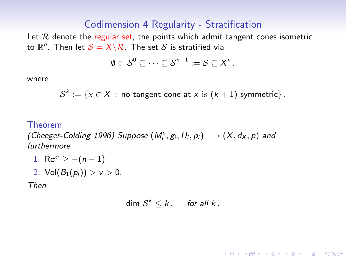Let  $R$  denote the regular set, the points which admit tangent cones isometric to  $\mathbb{R}^n$ . Then let  $\mathcal{S} = X \backslash \mathcal{R}$ . The set  $\mathcal S$  is stratified via

$$
\emptyset \subset \mathcal{S}^0 \subseteq \cdots \subseteq \mathcal{S}^{n-1} := \mathcal{S} \subseteq \mathcal{X}^n,
$$

where

$$
\mathcal{S}^k := \{x \in X \,:\, \text{no tangent cone at } x \text{ is } (k+1)\text{-symmetric}\}\,.
$$

#### Theorem

(Cheeger-Colding 1996) Suppose  $(M_i^n, g_i, H_i, p_i) \longrightarrow (X, d_X, p)$  and furthermore

- 1. Rc<sup>gi</sup> >  $-(n-1)$
- 2. Vol $(B_1(p_i)) > v > 0$ .

Then

$$
\dim S^k \leq k, \quad \text{for all } k.
$$

**KORKARYKERKER POLO**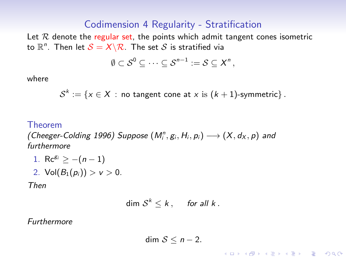Let  $R$  denote the regular set, the points which admit tangent cones isometric to  $\mathbb{R}^n$ . Then let  $\mathcal{S} = X \backslash \mathcal{R}$ . The set  $\mathcal S$  is stratified via

$$
\emptyset \subset \mathcal{S}^0 \subseteq \cdots \subseteq \mathcal{S}^{n-1} := \mathcal{S} \subseteq \mathcal{X}^n,
$$

where

$$
\mathcal{S}^k := \{x \in X \,:\, \text{no tangent cone at } x \text{ is } (k+1)\text{-symmetric}\}\,.
$$

#### Theorem

(Cheeger-Colding 1996) Suppose  $(M_i^n, g_i, H_i, p_i) \longrightarrow (X, d_X, p)$  and furthermore

- 1. Rc<sup>gi</sup> >  $-(n-1)$
- 2. Vol $(B_1(p_i)) > v > 0$ .

Then

$$
\dim \mathcal{S}^k \leq k, \quad \text{for all } k.
$$

Furthermore

$$
\dim S \leq n-2.
$$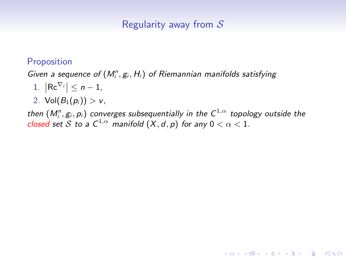## Proposition

Given a sequence of  $(M_i^n, g_i, H_i)$  of Riemannian manifolds satisfying

- 1.  $\left|\mathsf{Rc}^{\nabla_i}\right| \leq n-1$ ,
- 2. Vol $(B_1(p_i)) > v$ ,

then  $(M^n_i,g_i,p_i)$  converges subsequentially in the  $\mathsf{C}^{1,\alpha}$  topology outside the closed set S to a  $\mathcal{C}^{1,\alpha}$  manifold  $(X,d,p)$  for any  $0<\alpha< 1.$ 

**KORKARYKERKER POLO**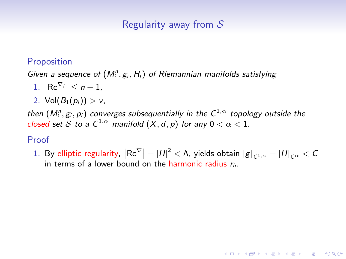## **Proposition**

Given a sequence of  $(M_i^n, g_i, H_i)$  of Riemannian manifolds satisfying

- 1.  $\left|\mathsf{Rc}^{\nabla_i}\right| \leq n-1$ ,
- 2. Vol $(B_1(p_i)) > v$ ,

then  $(M^n_i,g_i,p_i)$  converges subsequentially in the  $\mathsf{C}^{1,\alpha}$  topology outside the closed set S to a  $\mathcal{C}^{1,\alpha}$  manifold  $(X,d,p)$  for any  $0<\alpha< 1.$ 

## Proof

1. By elliptic regularity,  $\left|\mathsf{Rc}^\nabla\right| + \left|H\right|^2 < \Lambda$ , yields obtain  $\left|g\right|_{\mathsf{C}^{1,\alpha}} + \left|H\right|_{\mathsf{C}^\alpha} < \mathsf{C}$ in terms of a lower bound on the harmonic radius  $r<sub>h</sub>$ .

**KORKARYKERKER POLO**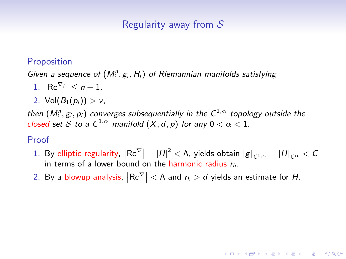## **Proposition**

Given a sequence of  $(M_i^n, g_i, H_i)$  of Riemannian manifolds satisfying

- 1.  $\left|\mathsf{Rc}^{\nabla_i}\right| \leq n-1$ ,
- 2. Vol $(B_1(p_i)) > v$ ,

then  $(M^n_i,g_i,p_i)$  converges subsequentially in the  $\mathsf{C}^{1,\alpha}$  topology outside the closed set S to a  $\mathcal{C}^{1,\alpha}$  manifold  $(X,d,p)$  for any  $0<\alpha< 1.$ 

### Proof

1. By elliptic regularity,  $\left|\mathsf{Rc}^\nabla\right| + \left|H\right|^2 < \Lambda$ , yields obtain  $\left|g\right|_{\mathsf{C}^{1,\alpha}} + \left|H\right|_{\mathsf{C}^\alpha} < \mathsf{C}$ in terms of a lower bound on the harmonic radius  $r<sub>h</sub>$ .

**KORKAR KERKER SAGA** 

2. By a blowup analysis,  $\left|\mathsf{Rc}^\nabla\right| < \Lambda$  and  $r_h > d$  yields an estimate for  $H$ .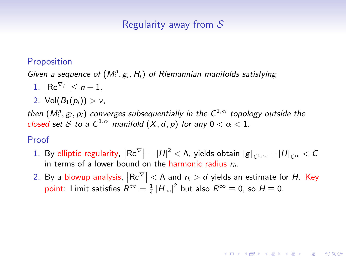## **Proposition**

Given a sequence of  $(M_i^n, g_i, H_i)$  of Riemannian manifolds satisfying

- 1.  $\left|\mathsf{Rc}^{\nabla_i}\right| \leq n-1$ ,
- 2. Vol $(B_1(p_i)) > v$ ,

then  $(M^n_i,g_i,p_i)$  converges subsequentially in the  $\mathsf{C}^{1,\alpha}$  topology outside the closed set S to a  $\mathcal{C}^{1,\alpha}$  manifold  $(X,d,p)$  for any  $0<\alpha< 1.$ 

## Proof

- 1. By elliptic regularity,  $\left|\mathsf{Rc}^\nabla\right| + \left|H\right|^2 < \Lambda$ , yields obtain  $\left|g\right|_{\mathsf{C}^{1,\alpha}} + \left|H\right|_{\mathsf{C}^\alpha} < \mathsf{C}$ in terms of a lower bound on the harmonic radius  $r<sub>h</sub>$ .
- 2. By a blowup analysis,  $\left|\mathsf{Rc}^\nabla\right| < \Lambda$  and  $r_h > d$  yields an estimate for  $H$ . Key point: Limit satisfies  $R^{\infty} = \frac{1}{4} |H_{\infty}|^2$  but also  $R^{\infty} \equiv 0$ , so  $H \equiv 0$ .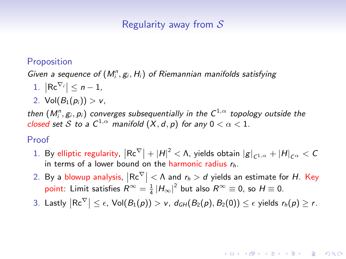## **Proposition**

Given a sequence of  $(M_i^n, g_i, H_i)$  of Riemannian manifolds satisfying

- 1.  $\left|\mathsf{Rc}^{\nabla_i}\right| \leq n-1$ ,
- 2. Vol $(B_1(p_i)) > v$ ,

then  $(M^n_i,g_i,p_i)$  converges subsequentially in the  $\mathsf{C}^{1,\alpha}$  topology outside the closed set S to a  $\mathcal{C}^{1,\alpha}$  manifold  $(X,d,p)$  for any  $0<\alpha< 1.$ 

## Proof

- 1. By elliptic regularity,  $\left|\mathsf{Rc}^\nabla\right| + \left|H\right|^2 < \Lambda$ , yields obtain  $\left|g\right|_{\mathsf{C}^{1,\alpha}} + \left|H\right|_{\mathsf{C}^\alpha} < \mathsf{C}$ in terms of a lower bound on the harmonic radius  $r<sub>h</sub>$ .
- 2. By a blowup analysis,  $\left|\mathsf{Rc}^\nabla\right| < \Lambda$  and  $r_h > d$  yields an estimate for  $H$ . Key point: Limit satisfies  $R^{\infty} = \frac{1}{4} |H_{\infty}|^2$  but also  $R^{\infty} \equiv 0$ , so  $H \equiv 0$ .
- 3. Lastly  $\left|\mathsf{Rc}^\nabla\right| \leq \epsilon$ , Vol $(B_1(\rho)) > \nu$ ,  $d_{GH}(B_2(\rho),B_2(0)) \leq \epsilon$  yields  $r_h(\rho) \geq r$ .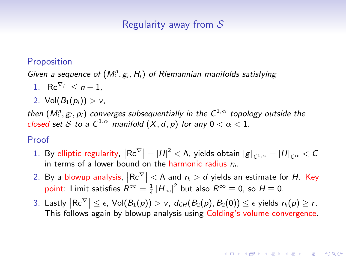## **Proposition**

Given a sequence of  $(M_i^n, g_i, H_i)$  of Riemannian manifolds satisfying

- 1.  $\left|\mathsf{Rc}^{\nabla_i}\right| \leq n-1$ ,
- 2. Vol $(B_1(p_i)) > v$ ,

then  $(M^n_i,g_i,p_i)$  converges subsequentially in the  $\mathsf{C}^{1,\alpha}$  topology outside the closed set S to a  $\mathcal{C}^{1,\alpha}$  manifold  $(X,d,p)$  for any  $0<\alpha< 1.$ 

## Proof

- 1. By elliptic regularity,  $\left|\mathsf{Rc}^\nabla\right| + \left|H\right|^2 < \Lambda$ , yields obtain  $\left|g\right|_{\mathsf{C}^{1,\alpha}} + \left|H\right|_{\mathsf{C}^\alpha} < \mathsf{C}$ in terms of a lower bound on the harmonic radius  $r<sub>h</sub>$ .
- 2. By a blowup analysis,  $\left|\mathsf{Rc}^\nabla\right| < \Lambda$  and  $r_h > d$  yields an estimate for  $H$ . Key point: Limit satisfies  $R^{\infty} = \frac{1}{4} |H_{\infty}|^2$  but also  $R^{\infty} \equiv 0$ , so  $H \equiv 0$ .
- 3. Lastly  $\left|\mathsf{Rc}^\nabla\right| \leq \epsilon$ ,  $\mathsf{Vol}(B_1(\rho)) > \nu$ ,  $d_{GH}(B_2(\rho), B_2(0)) \leq \epsilon$  yields  $r_h(\rho) \geq r$ . This follows again by blowup analysis using Colding's volume convergence.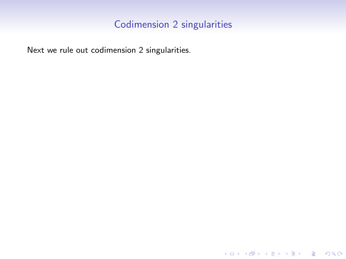# Codimension 2 singularities

KO K K Ø K K E K K E K V K K K K K K K K K

Next we rule out codimension 2 singularities.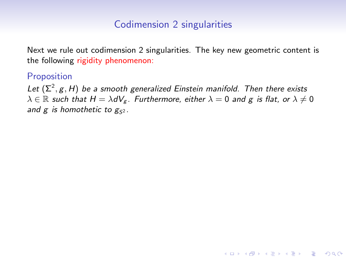## Codimension 2 singularities

Next we rule out codimension 2 singularities. The key new geometric content is the following rigidity phenomenon:

## Proposition

Let  $(\Sigma^2, g, H)$  be a smooth generalized Einstein manifold. Then there exists  $\lambda \in \mathbb{R}$  such that  $H = \lambda dV_g$ . Furthermore, either  $\lambda = 0$  and g is flat, or  $\lambda \neq 0$ and g is homothetic to  $g_{52}$ .

**KORK ERKER ADAM ADA**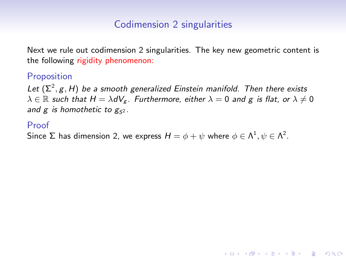Next we rule out codimension 2 singularities. The key new geometric content is the following rigidity phenomenon:

#### Proposition

Let  $(\Sigma^2, g, H)$  be a smooth generalized Einstein manifold. Then there exists  $\lambda \in \mathbb{R}$  such that  $H = \lambda dV_g$ . Furthermore, either  $\lambda = 0$  and g is flat, or  $\lambda \neq 0$ and g is homothetic to  $g_{52}$ .

**KORK ERKER ADAM ADA** 

#### Proof

Since  $\Sigma$  has dimension 2, we express  $H=\phi+\psi$  where  $\phi\in\Lambda^1, \psi\in\Lambda^2.$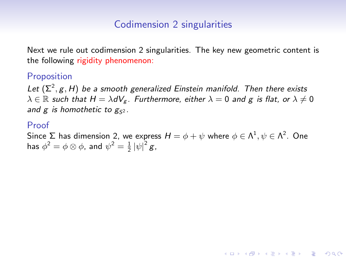Next we rule out codimension 2 singularities. The key new geometric content is the following rigidity phenomenon:

#### Proposition

Let  $(\Sigma^2, g, H)$  be a smooth generalized Einstein manifold. Then there exists  $\lambda \in \mathbb{R}$  such that  $H = \lambda dV_g$ . Furthermore, either  $\lambda = 0$  and g is flat, or  $\lambda \neq 0$ and g is homothetic to  $g_{52}$ .

#### Proof

Since  $\Sigma$  has dimension 2, we express  $H=\phi+\psi$  where  $\phi\in\Lambda^1, \psi\in\Lambda^2.$  One has  $\phi^2 = \phi \otimes \phi$ , and  $\psi^2 = \frac{1}{2} |\psi|^2 g$ ,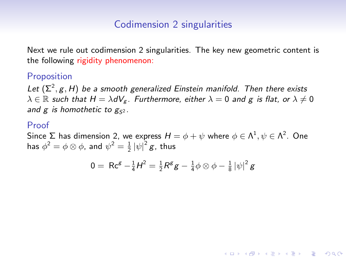Next we rule out codimension 2 singularities. The key new geometric content is the following rigidity phenomenon:

#### Proposition

Let  $(\Sigma^2, g, H)$  be a smooth generalized Einstein manifold. Then there exists  $\lambda \in \mathbb{R}$  such that  $H = \lambda dV_g$ . Furthermore, either  $\lambda = 0$  and g is flat, or  $\lambda \neq 0$ and g is homothetic to  $g_{52}$ .

#### Proof

Since  $\Sigma$  has dimension 2, we express  $H=\phi+\psi$  where  $\phi\in\Lambda^1, \psi\in\Lambda^2.$  One has  $\phi^2 = \phi \otimes \phi$ , and  $\psi^2 = \frac{1}{2} |\psi|^2 g$ , thus

$$
0 = \Re \mathsf{c}^{g} - \tfrac{1}{4} H^{2} = \tfrac{1}{2} \Re^{g} g - \tfrac{1}{4} \phi \otimes \phi - \tfrac{1}{8} |\psi|^{2} g
$$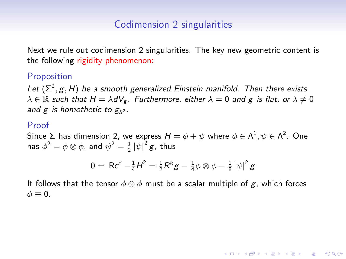Next we rule out codimension 2 singularities. The key new geometric content is the following rigidity phenomenon:

#### Proposition

Let  $(\Sigma^2, g, H)$  be a smooth generalized Einstein manifold. Then there exists  $\lambda \in \mathbb{R}$  such that  $H = \lambda dV_g$ . Furthermore, either  $\lambda = 0$  and g is flat, or  $\lambda \neq 0$ and g is homothetic to  $g_{52}$ .

#### Proof

Since  $\Sigma$  has dimension 2, we express  $H=\phi+\psi$  where  $\phi\in\Lambda^1, \psi\in\Lambda^2.$  One has  $\phi^2 = \phi \otimes \phi$ , and  $\psi^2 = \frac{1}{2} |\psi|^2 g$ , thus

$$
0 = \Re \mathsf{c}^{\mathsf{g}} - \tfrac{1}{4} \mathsf{H}^2 = \tfrac{1}{2} \mathsf{R}^{\mathsf{g}} \mathsf{g} - \tfrac{1}{4} \phi \otimes \phi - \tfrac{1}{8} |\psi|^2 \mathsf{g}
$$

**KORKAR KERKER SAGA** 

It follows that the tensor  $\phi \otimes \phi$  must be a scalar multiple of g, which forces  $\phi \equiv 0.$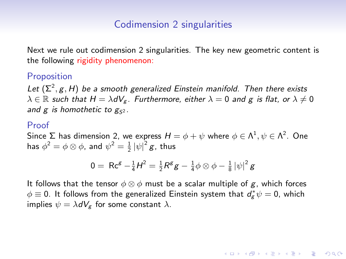Next we rule out codimension 2 singularities. The key new geometric content is the following rigidity phenomenon:

#### Proposition

Let  $(\Sigma^2, g, H)$  be a smooth generalized Einstein manifold. Then there exists  $\lambda \in \mathbb{R}$  such that  $H = \lambda dV_g$ . Furthermore, either  $\lambda = 0$  and g is flat, or  $\lambda \neq 0$ and g is homothetic to  $g_{52}$ .

#### Proof

Since  $\Sigma$  has dimension 2, we express  $H=\phi+\psi$  where  $\phi\in\Lambda^1, \psi\in\Lambda^2.$  One has  $\phi^2 = \phi \otimes \phi$ , and  $\psi^2 = \frac{1}{2} |\psi|^2 g$ , thus

$$
0 = \, \text{Rc}^{\mathcal{E}} - \tfrac{1}{4}H^2 = \tfrac{1}{2}\text{R}^{\mathcal{E}}\text{g} - \tfrac{1}{4}\phi \otimes \phi - \tfrac{1}{8}\left|\psi\right|^2\text{g}
$$

It follows that the tensor  $\phi \otimes \phi$  must be a scalar multiple of g, which forces  $\phi \equiv 0$ . It follows from the generalized Einstein system that  $d_{\mathsf{g}}^*\psi = 0$ , which implies  $\psi = \lambda dV_{\varphi}$  for some constant  $\lambda$ .

**KORKARYKERKER POLO**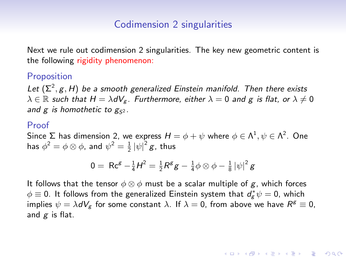Next we rule out codimension 2 singularities. The key new geometric content is the following rigidity phenomenon:

#### Proposition

Let  $(\Sigma^2, g, H)$  be a smooth generalized Einstein manifold. Then there exists  $\lambda \in \mathbb{R}$  such that  $H = \lambda dV_g$ . Furthermore, either  $\lambda = 0$  and g is flat, or  $\lambda \neq 0$ and  $g$  is homothetic to  $g_{S^2}$ .

#### Proof

Since  $\Sigma$  has dimension 2, we express  $H=\phi+\psi$  where  $\phi\in\Lambda^1, \psi\in\Lambda^2.$  One has  $\phi^2 = \phi \otimes \phi$ , and  $\psi^2 = \frac{1}{2} |\psi|^2 g$ , thus

$$
0 = \, \text{Rc}^{\mathcal{E}} - \tfrac{1}{4}H^2 = \tfrac{1}{2}\text{R}^{\mathcal{E}}\text{g} - \tfrac{1}{4}\phi \otimes \phi - \tfrac{1}{8}\left|\psi\right|^2\text{g}
$$

It follows that the tensor  $\phi \otimes \phi$  must be a scalar multiple of g, which forces  $\phi \equiv 0$ . It follows from the generalized Einstein system that  $d_{\mathsf{g}}^*\psi = 0$ , which implies  $\psi = \lambda dV_g$  for some constant  $\lambda$ . If  $\lambda = 0$ , from above we have  $R^g \equiv 0$ , and  $g$  is flat.

4 0 > 4 4 + 4 = + 4 = + = + + 0 4 0 +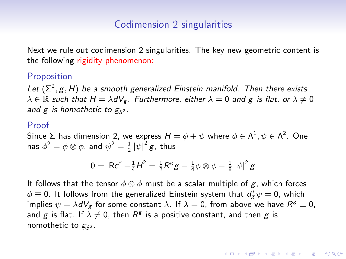Next we rule out codimension 2 singularities. The key new geometric content is the following rigidity phenomenon:

#### Proposition

Let  $(\Sigma^2, g, H)$  be a smooth generalized Einstein manifold. Then there exists  $\lambda \in \mathbb{R}$  such that  $H = \lambda dV_g$ . Furthermore, either  $\lambda = 0$  and g is flat, or  $\lambda \neq 0$ and  $g$  is homothetic to  $g_{S^2}$ .

#### Proof

Since  $\Sigma$  has dimension 2, we express  $H=\phi+\psi$  where  $\phi\in\Lambda^1, \psi\in\Lambda^2.$  One has  $\phi^2 = \phi \otimes \phi$ , and  $\psi^2 = \frac{1}{2} |\psi|^2 g$ , thus

$$
0 = \, \text{Rc}^{\mathcal{E}} - \tfrac{1}{4}H^2 = \tfrac{1}{2}\text{R}^{\mathcal{E}}\text{g} - \tfrac{1}{4}\phi \otimes \phi - \tfrac{1}{8}\left|\psi\right|^2\text{g}
$$

It follows that the tensor  $\phi \otimes \phi$  must be a scalar multiple of g, which forces  $\phi \equiv 0$ . It follows from the generalized Einstein system that  $d_{\mathsf{g}}^*\psi = 0$ , which implies  $\psi = \lambda dV_g$  for some constant  $\lambda$ . If  $\lambda = 0$ , from above we have  $R^g \equiv 0$ , and  $g$  is flat. If  $\lambda \neq 0$ , then  $R^g$  is a positive constant, and then  $g$  is homothetic to  $g_{52}$ .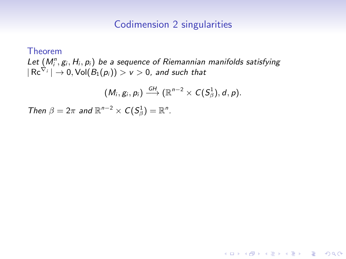Theorem Let  $(M_i^n, g_i, H_i, p_i)$  be a sequence of Riemannian manifolds satisfying  $|\operatorname{\sf Re}^{\nabla_i}|\to 0, \operatorname{\sf Vol}(B_1(\rho_i))>\nu>0$ , and such that

$$
(M_i, g_i, p_i) \stackrel{GH}{\longrightarrow} (\mathbb{R}^{n-2} \times C(S^1_\beta), d, p).
$$

Then  $\beta = 2\pi$  and  $\mathbb{R}^{n-2} \times C(S^1_\beta) = \mathbb{R}^n$ .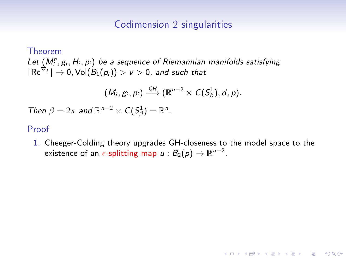Theorem Let  $(M_i^n, g_i, H_i, p_i)$  be a sequence of Riemannian manifolds satisfying  $|\operatorname{\sf Re}^{\nabla_i}|\to 0, \operatorname{\sf Vol}(B_1(\rho_i))>\nu>0$ , and such that

$$
(M_i, g_i, p_i) \stackrel{GH}{\longrightarrow} (\mathbb{R}^{n-2} \times C(S^1_\beta), d, p).
$$

Then  $\beta = 2\pi$  and  $\mathbb{R}^{n-2} \times C(S^1_\beta) = \mathbb{R}^n$ .

#### Proof

1. Cheeger-Colding theory upgrades GH-closeness to the model space to the existence of an  $\epsilon$ -splitting map  $u : B_2(p) \to \mathbb{R}^{n-2}.$ 

**KORKARYKERKER OQO**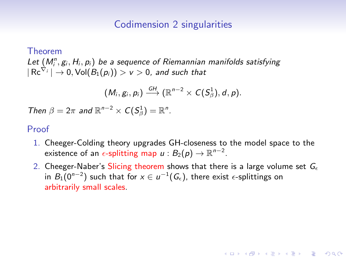Theorem Let  $(M_i^n, g_i, H_i, p_i)$  be a sequence of Riemannian manifolds satisfying  $|\operatorname{\sf Re}^{\nabla_i}|\to 0, \operatorname{\sf Vol}(B_1(\rho_i))>\nu>0$ , and such that

$$
(M_i, g_i, p_i) \stackrel{GH}{\longrightarrow} (\mathbb{R}^{n-2} \times C(S^1_\beta), d, p).
$$

Then  $\beta = 2\pi$  and  $\mathbb{R}^{n-2} \times C(S^1_\beta) = \mathbb{R}^n$ .

#### Proof

- 1. Cheeger-Colding theory upgrades GH-closeness to the model space to the existence of an  $\epsilon$ -splitting map  $u : B_2(p) \to \mathbb{R}^{n-2}.$
- 2. Cheeger-Naber's Slicing theorem shows that there is a large volume set  $G_{\epsilon}$ in  $B_1(0^{n-2})$  such that for  $x\in u^{-1}(G_\epsilon),$  there exist  $\epsilon$ -splittings on arbitrarily small scales.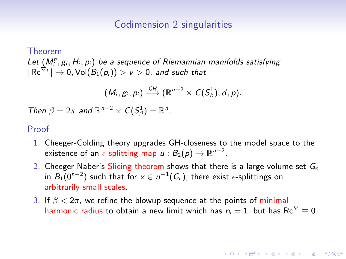Theorem Let  $(M_i^n, g_i, H_i, p_i)$  be a sequence of Riemannian manifolds satisfying  $|\operatorname{\sf Re}^{\nabla_i}|\to 0, \operatorname{\sf Vol}(B_1(\rho_i))>\nu>0$ , and such that

$$
(M_i, g_i, p_i) \stackrel{GH}{\longrightarrow} (\mathbb{R}^{n-2} \times C(S^1_\beta), d, p).
$$

Then  $\beta = 2\pi$  and  $\mathbb{R}^{n-2} \times C(S^1_\beta) = \mathbb{R}^n$ .

#### Proof

- 1. Cheeger-Colding theory upgrades GH-closeness to the model space to the existence of an  $\epsilon$ -splitting map  $u : B_2(p) \to \mathbb{R}^{n-2}.$
- 2. Cheeger-Naber's Slicing theorem shows that there is a large volume set  $G_{\epsilon}$ in  $B_1(0^{n-2})$  such that for  $x\in u^{-1}(G_\epsilon),$  there exist  $\epsilon$ -splittings on arbitrarily small scales.
- 3. If  $\beta < 2\pi$ , we refine the blowup sequence at the points of minimal harmonic radius to obtain a new limit which has  $r_h = 1$ , but has Rc<sup> $\nabla \equiv 0$ .</sup>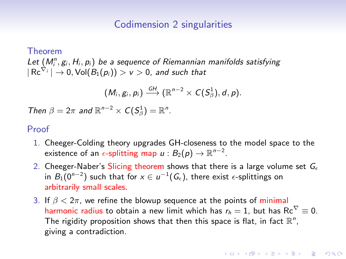Theorem Let  $(M_i^n, g_i, H_i, p_i)$  be a sequence of Riemannian manifolds satisfying  $|\operatorname{\sf Re}^{\nabla_i}|\to 0, \operatorname{\sf Vol}(B_1(\rho_i))>\nu>0$ , and such that

$$
(M_i, g_i, p_i) \stackrel{GH}{\longrightarrow} (\mathbb{R}^{n-2} \times C(S^1_\beta), d, p).
$$

Then  $\beta = 2\pi$  and  $\mathbb{R}^{n-2} \times C(S^1_\beta) = \mathbb{R}^n$ .

#### Proof

- 1. Cheeger-Colding theory upgrades GH-closeness to the model space to the existence of an  $\epsilon$ -splitting map  $u : B_2(p) \to \mathbb{R}^{n-2}.$
- 2. Cheeger-Naber's Slicing theorem shows that there is a large volume set  $G_{\epsilon}$ in  $B_1(0^{n-2})$  such that for  $x\in u^{-1}(G_\epsilon),$  there exist  $\epsilon$ -splittings on arbitrarily small scales.
- 3. If  $\beta < 2\pi$ , we refine the blowup sequence at the points of minimal harmonic radius to obtain a new limit which has  $r_h = 1$ , but has Rc<sup> $\nabla \equiv 0$ .</sup> The rigidity proposition shows that then this space is flat, in fact  $\mathbb{R}^n$ , giving a contradiction.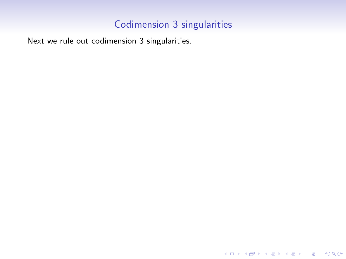Next we rule out codimension 3 singularities.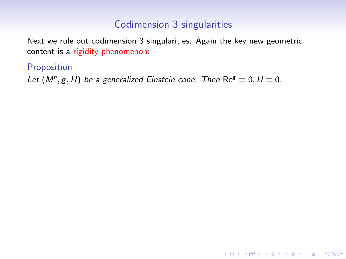KO K K Ø K K E K K E K V K K K K K K K K K

Next we rule out codimension 3 singularities. Again the key new geometric content is a rigidity phenomenon:

### Proposition

Let  $(M^n, g, H)$  be a generalized Einstein cone. Then  $\text{Re}^g \equiv 0, H \equiv 0$ .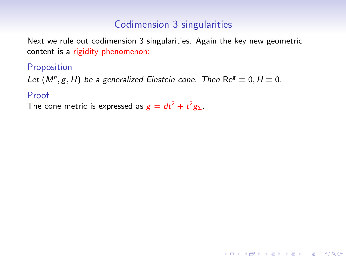Next we rule out codimension 3 singularities. Again the key new geometric content is a rigidity phenomenon:

Proposition

Let  $(M^n, g, H)$  be a generalized Einstein cone. Then  $\text{Re}^g \equiv 0, H \equiv 0$ .

### Proof

The cone metric is expressed as  $g=dt^2+t^2g_{\Sigma}$ .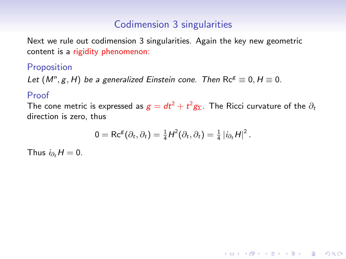Next we rule out codimension 3 singularities. Again the key new geometric content is a rigidity phenomenon:

# Proposition

Let  $(M^n, g, H)$  be a generalized Einstein cone. Then  $\text{Re}^g \equiv 0, H \equiv 0$ .

### Proof

The cone metric is expressed as  $g = dt^2 + t^2 g_{\Sigma}$ . The Ricci curvature of the  $\partial_t$ direction is zero, thus

$$
0 = \text{Rc}^{\mathcal{E}}(\partial_t, \partial_t) = \frac{1}{4}H^2(\partial_t, \partial_t) = \frac{1}{4} |i_{\partial_t}H|^2.
$$

4 0 > 4 4 + 4 = + 4 = + = + + 0 4 0 +

Thus  $i_{\partial_t} H = 0$ .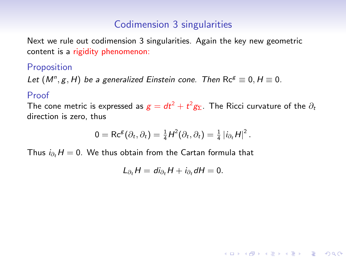Next we rule out codimension 3 singularities. Again the key new geometric content is a rigidity phenomenon:

### **Proposition**

Let  $(M^n, g, H)$  be a generalized Einstein cone. Then  $\text{Re}^g \equiv 0, H \equiv 0$ .

#### Proof

The cone metric is expressed as  $g = dt^2 + t^2 g_{\Sigma}$ . The Ricci curvature of the  $\partial_t$ direction is zero, thus

$$
0 = \text{Rc}^{\mathcal{B}}(\partial_t, \partial_t) = \frac{1}{4}H^2(\partial_t, \partial_t) = \frac{1}{4} |i_{\partial_t}H|^2.
$$

Thus  $i_{\partial_t} H = 0$ . We thus obtain from the Cartan formula that

$$
L_{\partial_t}H = di_{\partial_t}H + i_{\partial_t}dH = 0.
$$

4 0 > 4 4 + 4 = + 4 = + = + + 0 4 0 +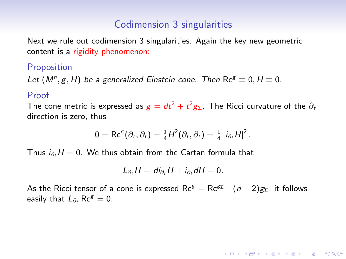Next we rule out codimension 3 singularities. Again the key new geometric content is a rigidity phenomenon:

### **Proposition**

Let  $(M^n, g, H)$  be a generalized Einstein cone. Then  $\text{Re}^g \equiv 0, H \equiv 0$ .

#### Proof

The cone metric is expressed as  $g = dt^2 + t^2 g_{\Sigma}$ . The Ricci curvature of the  $\partial_t$ direction is zero, thus

$$
0 = \text{Rc}^{\mathcal{B}}(\partial_t, \partial_t) = \frac{1}{4}H^2(\partial_t, \partial_t) = \frac{1}{4} |i_{\partial_t}H|^2.
$$

Thus  $i_{\partial_t} H = 0$ . We thus obtain from the Cartan formula that

$$
L_{\partial_t}H = di_{\partial_t}H + i_{\partial_t}dH = 0.
$$

As the Ricci tensor of a cone is expressed  $\text{Rc}^g = \text{Rc}^{g_{\Sigma}} - (n-2)g_{\Sigma}$ , it follows easily that  $L_{\partial t}$  Rc<sup>g</sup> = 0.

**KOD KAD KED KED E VOOR**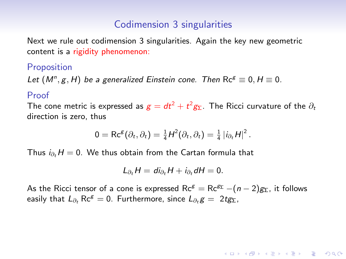Next we rule out codimension 3 singularities. Again the key new geometric content is a rigidity phenomenon:

### **Proposition**

Let  $(M^n, g, H)$  be a generalized Einstein cone. Then  $\text{Re}^g \equiv 0, H \equiv 0$ .

#### Proof

The cone metric is expressed as  $g = dt^2 + t^2 g_{\Sigma}$ . The Ricci curvature of the  $\partial_t$ direction is zero, thus

$$
0 = \text{Rc}^{\mathcal{B}}(\partial_t, \partial_t) = \frac{1}{4}H^2(\partial_t, \partial_t) = \frac{1}{4} |i_{\partial_t}H|^2.
$$

Thus  $i_{\partial_t} H = 0$ . We thus obtain from the Cartan formula that

$$
L_{\partial_t}H = di_{\partial_t}H + i_{\partial_t}dH = 0.
$$

As the Ricci tensor of a cone is expressed  $\text{Re}^g = \text{Re}^{g_{\Sigma}} - (n-2)g_{\Sigma}$ , it follows easily that  $L_{\partial t}$  Rc<sup>g</sup> = 0. Furthermore, since  $L_{\partial t}$  g = 2tg<sub>Σ</sub>,

**KOD KAD KED KED E VOOR**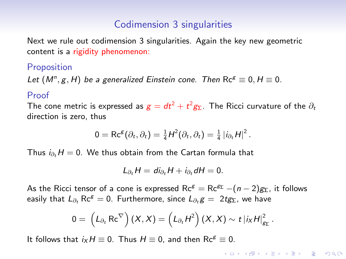Next we rule out codimension 3 singularities. Again the key new geometric content is a rigidity phenomenon:

### **Proposition**

Let  $(M^n, g, H)$  be a generalized Einstein cone. Then  $\text{Re}^g \equiv 0, H \equiv 0$ .

#### Proof

The cone metric is expressed as  $g = dt^2 + t^2 g_{\Sigma}$ . The Ricci curvature of the  $\partial_t$ direction is zero, thus

$$
0 = \text{Rc}^{g}(\partial_t, \partial_t) = \frac{1}{4}H^2(\partial_t, \partial_t) = \frac{1}{4} |i_{\partial_t}H|^2.
$$

Thus  $i_{\partial_t} H = 0$ . We thus obtain from the Cartan formula that

$$
L_{\partial_t}H = di_{\partial_t}H + i_{\partial_t}dH = 0.
$$

As the Ricci tensor of a cone is expressed  $\text{Rc}^g = \text{Rc}^{g_{\Sigma}} - (n-2)g_{\Sigma}$ , it follows easily that  $L_{\partial t}$  Rc<sup>g</sup> = 0. Furthermore, since  $L_{\partial t}$  g = 2tg<sub>Σ</sub>, we have

$$
0=\left(L_{\partial_t}\operatorname{Re}^{\nabla}\right)(X,X)=\left(L_{\partial_t}H^2\right)(X,X)\sim t\left|i_XH\right|_{g_{\Sigma}}^2.
$$

It follows that  $i_XH \equiv 0$ . Thus  $H \equiv 0$ , and then Rc<sup>g</sup>  $\equiv 0$ .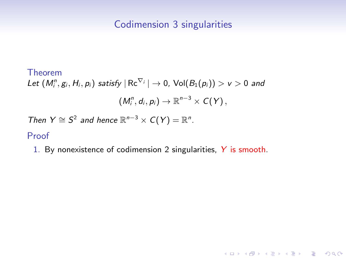KO K K Ø K K E K K E K V K K K K K K K K K

# Theorem Let  $(M^n_i,g_i,H_i,p_i)$  satisfy  $|\operatorname{\sf Re}^{\nabla_i}|\to0$ ,  $\operatorname{\sf Vol}(B_1(p_i))>\nu>0$  and  $(M_i^n, d_i, p_i) \rightarrow \mathbb{R}^{n-3} \times C(Y),$ Then  $Y \cong S^2$  and hence  $\mathbb{R}^{n-3} \times C(Y) = \mathbb{R}^n$ . Proof

1. By nonexistence of codimension 2 singularities, Y is smooth.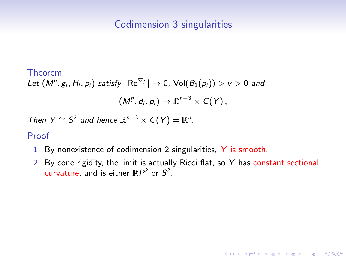#### Theorem

Let  $(M^n_i,g_i,H_i,p_i)$  satisfy  $|\operatorname{\sf Re}^{\nabla_i}|\to0$ ,  $\operatorname{\sf Vol}(B_1(p_i))>\nu>0$  and  $(M_i^n, d_i, p_i) \rightarrow \mathbb{R}^{n-3} \times C(Y),$ 

Then  $Y \cong S^2$  and hence  $\mathbb{R}^{n-3} \times C(Y) = \mathbb{R}^n$ .

#### Proof

- 1. By nonexistence of codimension 2 singularities, Y is smooth.
- 2. By cone rigidity, the limit is actually Ricci flat, so  $Y$  has constant sectional curvature, and is either  $\mathbb{R}P^2$  or  $S^2$ .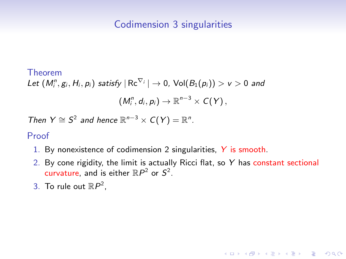#### Theorem

Let  $(M^n_i,g_i,H_i,p_i)$  satisfy  $|\operatorname{\sf Re}^{\nabla_i}|\to0$ ,  $\operatorname{\sf Vol}(B_1(p_i))>\nu>0$  and  $(M_i^n, d_i, p_i) \rightarrow \mathbb{R}^{n-3} \times C(Y),$ 

Then  $Y \cong S^2$  and hence  $\mathbb{R}^{n-3} \times C(Y) = \mathbb{R}^n$ .

#### Proof

- 1. By nonexistence of codimension 2 singularities, Y is smooth.
- 2. By cone rigidity, the limit is actually Ricci flat, so  $Y$  has constant sectional curvature, and is either  $\mathbb{R}P^2$  or  $S^2$ .

**KORKAR KERKER SAGA** 

3. To rule out  $\mathbb{R}P^2$ ,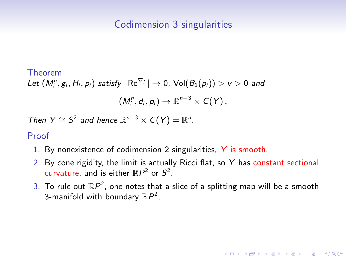#### Theorem

Let  $(M^n_i,g_i,H_i,p_i)$  satisfy  $|\operatorname{\sf Re}^{\nabla_i}|\to0$ ,  $\operatorname{\sf Vol}(B_1(p_i))>\nu>0$  and

$$
(M_i^n,d_i,p_i)\to\mathbb{R}^{n-3}\times C(Y),
$$

Then  $Y \cong S^2$  and hence  $\mathbb{R}^{n-3} \times C(Y) = \mathbb{R}^n$ .

#### Proof

- 1. By nonexistence of codimension 2 singularities, Y is smooth.
- 2. By cone rigidity, the limit is actually Ricci flat, so  $Y$  has constant sectional curvature, and is either  $\mathbb{R}P^2$  or  $S^2$ .
- 3. To rule out  $\mathbb{R}P^2$ , one notes that a slice of a splitting map will be a smooth 3-manifold with boundary  $\mathbb{R}P^2$ ,